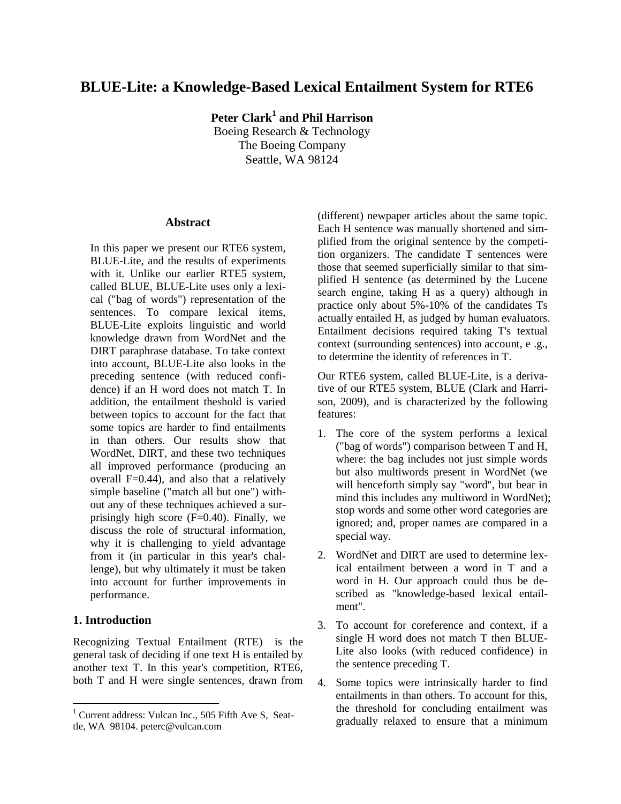# **BLUE-Lite: a Knowledge-Based Lexical Entailment System for RTE6**

**Peter Clark<sup>1</sup> and Phil Harrison** Boeing Research & Technology The Boeing Company Seattle, WA 98124

#### **Abstract**

In this paper we present our RTE6 system, BLUE-Lite, and the results of experiments with it. Unlike our earlier RTE5 system, called BLUE, BLUE-Lite uses only a lexical ("bag of words") representation of the sentences. To compare lexical items, BLUE-Lite exploits linguistic and world knowledge drawn from WordNet and the DIRT paraphrase database. To take context into account, BLUE-Lite also looks in the preceding sentence (with reduced confidence) if an H word does not match T. In addition, the entailment theshold is varied between topics to account for the fact that some topics are harder to find entailments in than others. Our results show that WordNet, DIRT, and these two techniques all improved performance (producing an overall  $F=0.44$ ), and also that a relatively simple baseline ("match all but one") without any of these techniques achieved a surprisingly high score (F=0.40). Finally, we discuss the role of structural information, why it is challenging to yield advantage from it (in particular in this year's challenge), but why ultimately it must be taken into account for further improvements in performance.

#### **1. Introduction**

Recognizing Textual Entailment (RTE) is the general task of deciding if one text H is entailed by another text T. In this year's competition, RTE6, both T and H were single sentences, drawn from

(different) newpaper articles about the same topic. Each H sentence was manually shortened and simplified from the original sentence by the competition organizers. The candidate T sentences were those that seemed superficially similar to that simplified H sentence (as determined by the Lucene search engine, taking H as a query) although in practice only about 5%-10% of the candidates Ts actually entailed H, as judged by human evaluators. Entailment decisions required taking T's textual context (surrounding sentences) into account, e .g., to determine the identity of references in T.

Our RTE6 system, called BLUE-Lite, is a derivative of our RTE5 system, BLUE (Clark and Harrison, 2009), and is characterized by the following features:

- 1. The core of the system performs a lexical ("bag of words") comparison between T and H, where: the bag includes not just simple words but also multiwords present in WordNet (we will henceforth simply say "word", but bear in mind this includes any multiword in WordNet); stop words and some other word categories are ignored; and, proper names are compared in a special way.
- 2. WordNet and DIRT are used to determine lexical entailment between a word in T and a word in H. Our approach could thus be described as "knowledge-based lexical entailment".
- 3. To account for coreference and context, if a single H word does not match T then BLUE-Lite also looks (with reduced confidence) in the sentence preceding T.
- 4. Some topics were intrinsically harder to find entailments in than others. To account for this, the threshold for concluding entailment was gradually relaxed to ensure that a minimum

 $1$  Current address: Vulcan Inc., 505 Fifth Ave S, Seattle, WA 98104. peterc@vulcan.com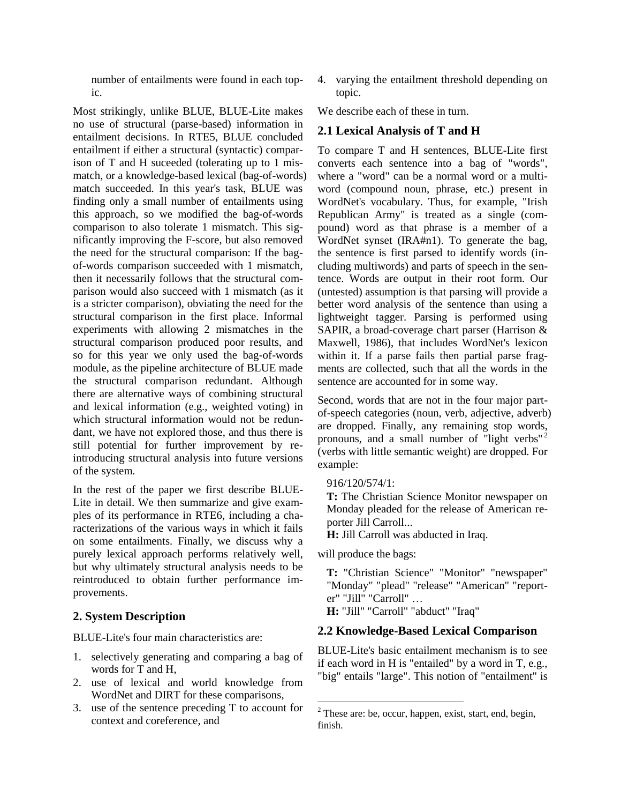number of entailments were found in each topic.

Most strikingly, unlike BLUE, BLUE-Lite makes no use of structural (parse-based) information in entailment decisions. In RTE5, BLUE concluded entailment if either a structural (syntactic) comparison of T and H suceeded (tolerating up to 1 mismatch, or a knowledge-based lexical (bag-of-words) match succeeded. In this year's task, BLUE was finding only a small number of entailments using this approach, so we modified the bag-of-words comparison to also tolerate 1 mismatch. This significantly improving the F-score, but also removed the need for the structural comparison: If the bagof-words comparison succeeded with 1 mismatch, then it necessarily follows that the structural comparison would also succeed with 1 mismatch (as it is a stricter comparison), obviating the need for the structural comparison in the first place. Informal experiments with allowing 2 mismatches in the structural comparison produced poor results, and so for this year we only used the bag-of-words module, as the pipeline architecture of BLUE made the structural comparison redundant. Although there are alternative ways of combining structural and lexical information (e.g., weighted voting) in which structural information would not be redundant, we have not explored those, and thus there is still potential for further improvement by reintroducing structural analysis into future versions of the system.

In the rest of the paper we first describe BLUE-Lite in detail. We then summarize and give examples of its performance in RTE6, including a characterizations of the various ways in which it fails on some entailments. Finally, we discuss why a purely lexical approach performs relatively well, but why ultimately structural analysis needs to be reintroduced to obtain further performance improvements.

### **2. System Description**

BLUE-Lite's four main characteristics are:

- 1. selectively generating and comparing a bag of words for T and H,
- 2. use of lexical and world knowledge from WordNet and DIRT for these comparisons,
- 3. use of the sentence preceding T to account for context and coreference, and

4. varying the entailment threshold depending on topic.

We describe each of these in turn.

### **2.1 Lexical Analysis of T and H**

To compare T and H sentences, BLUE-Lite first converts each sentence into a bag of "words", where a "word" can be a normal word or a multiword (compound noun, phrase, etc.) present in WordNet's vocabulary. Thus, for example, "Irish Republican Army" is treated as a single (compound) word as that phrase is a member of a WordNet synset (IRA#n1). To generate the bag, the sentence is first parsed to identify words (including multiwords) and parts of speech in the sentence. Words are output in their root form. Our (untested) assumption is that parsing will provide a better word analysis of the sentence than using a lightweight tagger. Parsing is performed using SAPIR, a broad-coverage chart parser (Harrison & Maxwell, 1986), that includes WordNet's lexicon within it. If a parse fails then partial parse fragments are collected, such that all the words in the sentence are accounted for in some way.

Second, words that are not in the four major partof-speech categories (noun, verb, adjective, adverb) are dropped. Finally, any remaining stop words, pronouns, and a small number of "light verbs"<sup>2</sup> (verbs with little semantic weight) are dropped. For example:

916/120/574/1:

**T:** The Christian Science Monitor newspaper on Monday pleaded for the release of American reporter Jill Carroll...

**H:** Jill Carroll was abducted in Iraq.

will produce the bags:

**T:** "Christian Science" "Monitor" "newspaper" "Monday" "plead" "release" "American" "reporter" "Jill" "Carroll" …

**H:** "Jill" "Carroll" "abduct" "Iraq"

### **2.2 Knowledge-Based Lexical Comparison**

BLUE-Lite's basic entailment mechanism is to see if each word in H is "entailed" by a word in T, e.g., "big" entails "large". This notion of "entailment" is

 $2$  These are: be, occur, happen, exist, start, end, begin, finish.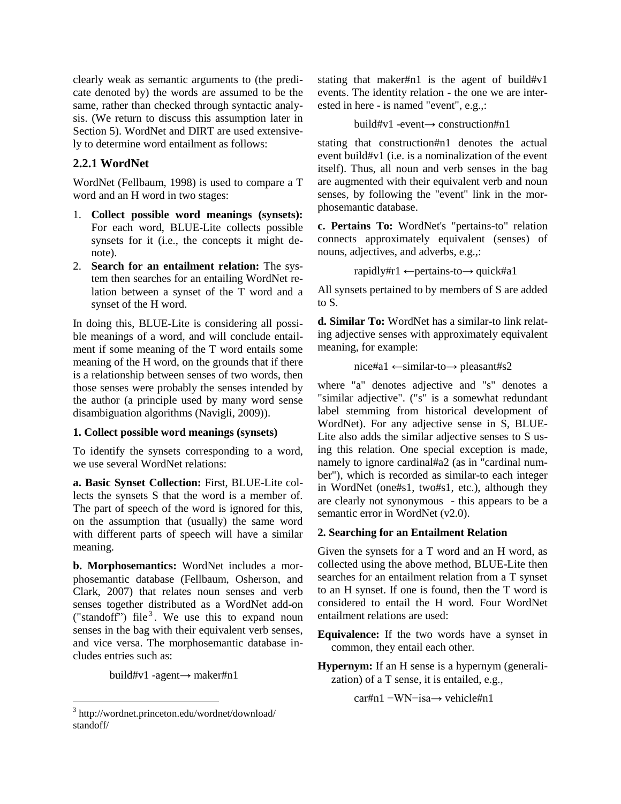clearly weak as semantic arguments to (the predicate denoted by) the words are assumed to be the same, rather than checked through syntactic analysis. (We return to discuss this assumption later in Section 5). WordNet and DIRT are used extensively to determine word entailment as follows:

### **2.2.1 WordNet**

WordNet (Fellbaum, 1998) is used to compare a T word and an H word in two stages:

- 1. **Collect possible word meanings (synsets):**  For each word, BLUE-Lite collects possible synsets for it (i.e., the concepts it might denote).
- 2. **Search for an entailment relation:** The system then searches for an entailing WordNet relation between a synset of the T word and a synset of the H word.

In doing this, BLUE-Lite is considering all possible meanings of a word, and will conclude entailment if some meaning of the T word entails some meaning of the H word, on the grounds that if there is a relationship between senses of two words, then those senses were probably the senses intended by the author (a principle used by many word sense disambiguation algorithms (Navigli, 2009)).

#### **1. Collect possible word meanings (synsets)**

To identify the synsets corresponding to a word, we use several WordNet relations:

**a. Basic Synset Collection:** First, BLUE-Lite collects the synsets S that the word is a member of. The part of speech of the word is ignored for this, on the assumption that (usually) the same word with different parts of speech will have a similar meaning.

**b. Morphosemantics:** WordNet includes a morphosemantic database (Fellbaum, Osherson, and Clark, 2007) that relates noun senses and verb senses together distributed as a WordNet add-on ("standoff") file<sup>3</sup>. We use this to expand noun senses in the bag with their equivalent verb senses, and vice versa. The morphosemantic database includes entries such as:

build#v1 -agent→ maker#n1

stating that maker#n1 is the agent of build#v1 events. The identity relation - the one we are interested in here - is named "event", e.g.,:

```
build#v1 -event→ construction#n1
```
stating that construction#n1 denotes the actual event build#v1 (i.e. is a nominalization of the event itself). Thus, all noun and verb senses in the bag are augmented with their equivalent verb and noun senses, by following the "event" link in the morphosemantic database.

**c. Pertains To:** WordNet's "pertains-to" relation connects approximately equivalent (senses) of nouns, adjectives, and adverbs, e.g.,:

rapidly#r1 ←pertains-to→ quick#a1

All synsets pertained to by members of S are added to S.

**d. Similar To:** WordNet has a similar-to link relating adjective senses with approximately equivalent meaning, for example:

nice#a1 ←similar-to→ pleasant#s2

where "a" denotes adjective and "s" denotes a "similar adjective". ("s" is a somewhat redundant label stemming from historical development of WordNet). For any adjective sense in S, BLUE-Lite also adds the similar adjective senses to S using this relation. One special exception is made, namely to ignore cardinal#a2 (as in "cardinal number"), which is recorded as similar-to each integer in WordNet (one#s1, two#s1, etc.), although they are clearly not synonymous - this appears to be a semantic error in WordNet (v2.0).

### **2. Searching for an Entailment Relation**

Given the synsets for a T word and an H word, as collected using the above method, BLUE-Lite then searches for an entailment relation from a T synset to an H synset. If one is found, then the T word is considered to entail the H word. Four WordNet entailment relations are used:

**Equivalence:** If the two words have a synset in common, they entail each other.

**Hypernym:** If an H sense is a hypernym (generalization) of a T sense, it is entailed, e.g.,

car#n1 −WN−isa→ vehicle#n1

<sup>&</sup>lt;sup>3</sup> http://wordnet.princeton.edu/wordnet/download/ standoff/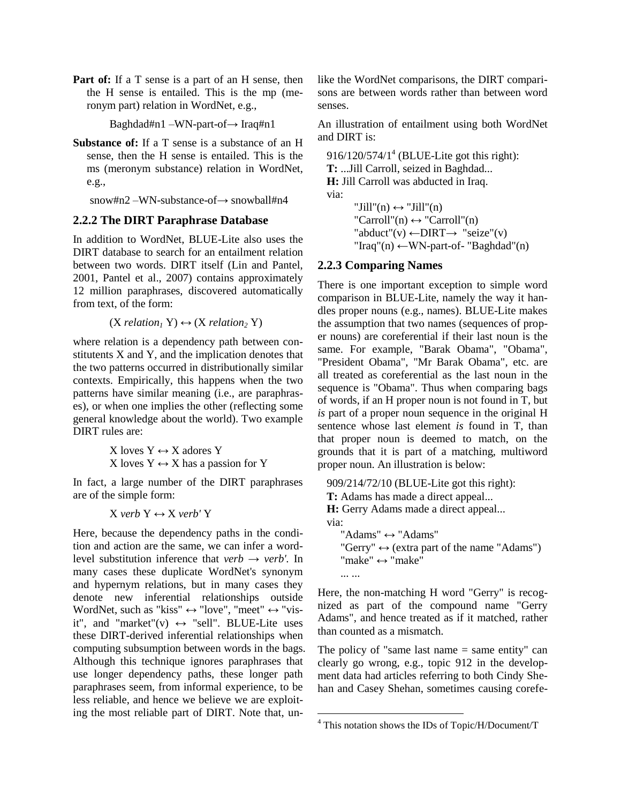**Part of:** If a T sense is a part of an H sense, then the H sense is entailed. This is the mp (meronym part) relation in WordNet, e.g.,

Baghdad#n1 –WN-part-of→ Iraq#n1

**Substance of:** If a T sense is a substance of an H sense, then the H sense is entailed. This is the ms (meronym substance) relation in WordNet, e.g.,

snow#n2 –WN-substance-of→ snowball#n4

#### **2.2.2 The DIRT Paraphrase Database**

In addition to WordNet, BLUE-Lite also uses the DIRT database to search for an entailment relation between two words. DIRT itself (Lin and Pantel, 2001, Pantel et al., 2007) contains approximately 12 million paraphrases, discovered automatically from text, of the form:

 $(X$  *relation*<sub>1</sub>  $Y$  $) \leftrightarrow (X$  *relation*<sub>2</sub>  $Y$  $)$ 

where relation is a dependency path between constitutents X and Y, and the implication denotes that the two patterns occurred in distributionally similar contexts. Empirically, this happens when the two patterns have similar meaning (i.e., are paraphrases), or when one implies the other (reflecting some general knowledge about the world). Two example DIRT rules are:

> X loves  $Y \leftrightarrow X$  adores Y X loves  $Y \leftrightarrow X$  has a passion for Y

In fact, a large number of the DIRT paraphrases are of the simple form:

 $X$ *verb*  $Y \leftrightarrow X$ *verb'* Y

Here, because the dependency paths in the condition and action are the same, we can infer a wordlevel substitution inference that  $verb \rightarrow verb'$ . In many cases these duplicate WordNet's synonym and hypernym relations, but in many cases they denote new inferential relationships outside WordNet, such as "kiss"  $\leftrightarrow$  "love", "meet"  $\leftrightarrow$  "visit", and "market"(v)  $\leftrightarrow$  "sell". BLUE-Lite uses these DIRT-derived inferential relationships when computing subsumption between words in the bags. Although this technique ignores paraphrases that use longer dependency paths, these longer path paraphrases seem, from informal experience, to be less reliable, and hence we believe we are exploiting the most reliable part of DIRT. Note that, unlike the WordNet comparisons, the DIRT comparisons are between words rather than between word senses.

An illustration of entailment using both WordNet and DIRT is:

 $916/120/574/1<sup>4</sup>$  (BLUE-Lite got this right): **T:** ...Jill Carroll, seized in Baghdad... **H:** Jill Carroll was abducted in Iraq. via:  $"Jill"(n) \leftrightarrow "Jill"(n)$  $"Carroll"(n) \leftrightarrow "Carroll"(n)$  $"abduct" (v) \leftarrow DIRT \rightarrow "seize" (v)$  $"Iraq"(n) \leftarrow WN-part-of-'Baghdad"(n)$ 

### **2.2.3 Comparing Names**

There is one important exception to simple word comparison in BLUE-Lite, namely the way it handles proper nouns (e.g., names). BLUE-Lite makes the assumption that two names (sequences of proper nouns) are coreferential if their last noun is the same. For example, "Barak Obama", "Obama", "President Obama", "Mr Barak Obama", etc. are all treated as coreferential as the last noun in the sequence is "Obama". Thus when comparing bags of words, if an H proper noun is not found in T, but *is* part of a proper noun sequence in the original H sentence whose last element *is* found in T, than that proper noun is deemed to match, on the grounds that it is part of a matching, multiword proper noun. An illustration is below:

909/214/72/10 (BLUE-Lite got this right): **T:** Adams has made a direct appeal... **H:** Gerry Adams made a direct appeal... via:

"Adams"  $\leftrightarrow$  "Adams" "Gerry"  $\leftrightarrow$  (extra part of the name "Adams")  $"make" \leftrightarrow "make"$ ... ...

Here, the non-matching H word "Gerry" is recognized as part of the compound name "Gerry Adams", and hence treated as if it matched, rather than counted as a mismatch.

The policy of "same last name  $=$  same entity" can clearly go wrong, e.g., topic 912 in the development data had articles referring to both Cindy Shehan and Casey Shehan, sometimes causing corefe-

  $4$  This notation shows the IDs of Topic/H/Document/T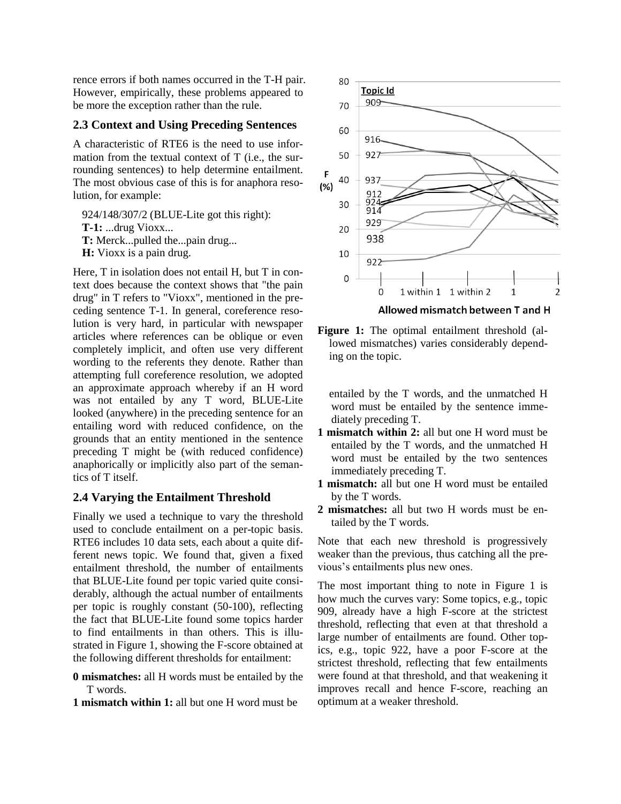rence errors if both names occurred in the T-H pair. However, empirically, these problems appeared to be more the exception rather than the rule.

#### **2.3 Context and Using Preceding Sentences**

A characteristic of RTE6 is the need to use information from the textual context of T (i.e., the surrounding sentences) to help determine entailment. The most obvious case of this is for anaphora resolution, for example:

924/148/307/2 (BLUE-Lite got this right):

- **T-1:** ...drug Vioxx...
- **T:** Merck...pulled the...pain drug...
- **H:** Vioxx is a pain drug.

Here, T in isolation does not entail H, but T in context does because the context shows that "the pain drug" in T refers to "Vioxx", mentioned in the preceding sentence T-1. In general, coreference resolution is very hard, in particular with newspaper articles where references can be oblique or even completely implicit, and often use very different wording to the referents they denote. Rather than attempting full coreference resolution, we adopted an approximate approach whereby if an H word was not entailed by any T word, BLUE-Lite looked (anywhere) in the preceding sentence for an entailing word with reduced confidence, on the grounds that an entity mentioned in the sentence preceding T might be (with reduced confidence) anaphorically or implicitly also part of the semantics of T itself.

### **2.4 Varying the Entailment Threshold**

Finally we used a technique to vary the threshold used to conclude entailment on a per-topic basis. RTE6 includes 10 data sets, each about a quite different news topic. We found that, given a fixed entailment threshold, the number of entailments that BLUE-Lite found per topic varied quite considerably, although the actual number of entailments per topic is roughly constant (50-100), reflecting the fact that BLUE-Lite found some topics harder to find entailments in than others. This is illustrated in Figure 1, showing the F-score obtained at the following different thresholds for entailment:

- **0 mismatches:** all H words must be entailed by the T words.
- **1 mismatch within 1:** all but one H word must be



**Figure 1:** The optimal entailment threshold (allowed mismatches) varies considerably depend-

ing on the topic.

entailed by the T words, and the unmatched H word must be entailed by the sentence immediately preceding T.

- **1 mismatch within 2:** all but one H word must be entailed by the T words, and the unmatched H word must be entailed by the two sentences immediately preceding T.
- **1 mismatch:** all but one H word must be entailed by the T words.
- **2 mismatches:** all but two H words must be entailed by the T words.

Note that each new threshold is progressively weaker than the previous, thus catching all the previous's entailments plus new ones.

The most important thing to note in Figure 1 is how much the curves vary: Some topics, e.g., topic 909, already have a high F-score at the strictest threshold, reflecting that even at that threshold a large number of entailments are found. Other topics, e.g., topic 922, have a poor F-score at the strictest threshold, reflecting that few entailments were found at that threshold, and that weakening it improves recall and hence F-score, reaching an optimum at a weaker threshold.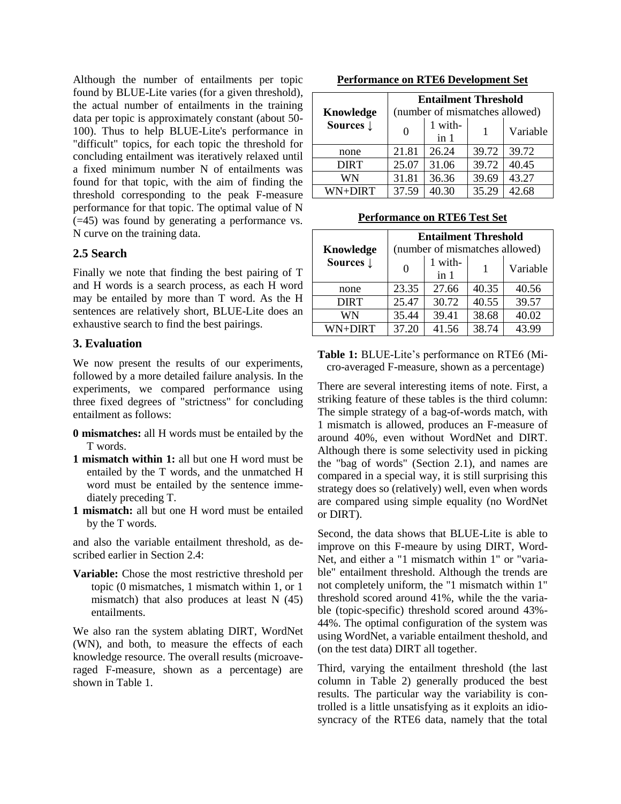Although the number of entailments per topic found by BLUE-Lite varies (for a given threshold), the actual number of entailments in the training data per topic is approximately constant (about 50- 100). Thus to help BLUE-Lite's performance in "difficult" topics, for each topic the threshold for concluding entailment was iteratively relaxed until a fixed minimum number N of entailments was found for that topic, with the aim of finding the threshold corresponding to the peak F-measure performance for that topic. The optimal value of N (=45) was found by generating a performance vs. N curve on the training data.

#### **2.5 Search**

Finally we note that finding the best pairing of T and H words is a search process, as each H word may be entailed by more than T word. As the H sentences are relatively short, BLUE-Lite does an exhaustive search to find the best pairings.

### **3. Evaluation**

We now present the results of our experiments, followed by a more detailed failure analysis. In the experiments, we compared performance using three fixed degrees of "strictness" for concluding entailment as follows:

- **0 mismatches:** all H words must be entailed by the T words.
- **1 mismatch within 1:** all but one H word must be entailed by the T words, and the unmatched H word must be entailed by the sentence immediately preceding T.
- **1 mismatch:** all but one H word must be entailed by the T words.

and also the variable entailment threshold, as described earlier in Section 2.4:

**Variable:** Chose the most restrictive threshold per topic (0 mismatches, 1 mismatch within 1, or 1 mismatch) that also produces at least N (45) entailments.

We also ran the system ablating DIRT, WordNet (WN), and both, to measure the effects of each knowledge resource. The overall results (microaveraged F-measure, shown as a percentage) are shown in Table 1.

| <b>Performance on RTE6 Development Set</b> |  |
|--------------------------------------------|--|
|                                            |  |

| Knowledge            | <b>Entailment Threshold</b><br>(number of mismatches allowed) |                          |       |          |  |
|----------------------|---------------------------------------------------------------|--------------------------|-------|----------|--|
| Sources $\downarrow$ | 0                                                             | 1 with-<br>$\text{in}$ 1 |       | Variable |  |
| none                 | 21.81                                                         | 26.24                    | 39.72 | 39.72    |  |
| <b>DIRT</b>          | 25.07                                                         | 31.06                    | 39.72 | 40.45    |  |
| WN                   | 31.81                                                         | 36.36                    | 39.69 | 43.27    |  |
| WN+DIRT              | 37.59                                                         | 40.30                    | 35.29 | 42.68    |  |

#### **Performance on RTE6 Test Set**

| Knowledge            | <b>Entailment Threshold</b><br>(number of mismatches allowed) |                          |       |          |
|----------------------|---------------------------------------------------------------|--------------------------|-------|----------|
| Sources $\downarrow$ | $\theta$                                                      | 1 with-<br>$\text{in}$ 1 |       | Variable |
| none                 | 23.35                                                         | 27.66                    | 40.35 | 40.56    |
| <b>DIRT</b>          | 25.47                                                         | 30.72                    | 40.55 | 39.57    |
| WN                   | 35.44                                                         | 39.41                    | 38.68 | 40.02    |
| <b>WN+DIRT</b>       | 37.20                                                         | 41.56                    | 38.74 | 43.99    |

**Table 1:** BLUE-Lite's performance on RTE6 (Micro-averaged F-measure, shown as a percentage)

There are several interesting items of note. First, a striking feature of these tables is the third column: The simple strategy of a bag-of-words match, with 1 mismatch is allowed, produces an F-measure of around 40%, even without WordNet and DIRT. Although there is some selectivity used in picking the "bag of words" (Section 2.1), and names are compared in a special way, it is still surprising this strategy does so (relatively) well, even when words are compared using simple equality (no WordNet or DIRT).

Second, the data shows that BLUE-Lite is able to improve on this F-meaure by using DIRT, Word-Net, and either a "1 mismatch within 1" or "variable" entailment threshold. Although the trends are not completely uniform, the "1 mismatch within 1" threshold scored around 41%, while the the variable (topic-specific) threshold scored around 43%- 44%. The optimal configuration of the system was using WordNet, a variable entailment theshold, and (on the test data) DIRT all together.

Third, varying the entailment threshold (the last column in Table 2) generally produced the best results. The particular way the variability is controlled is a little unsatisfying as it exploits an idiosyncracy of the RTE6 data, namely that the total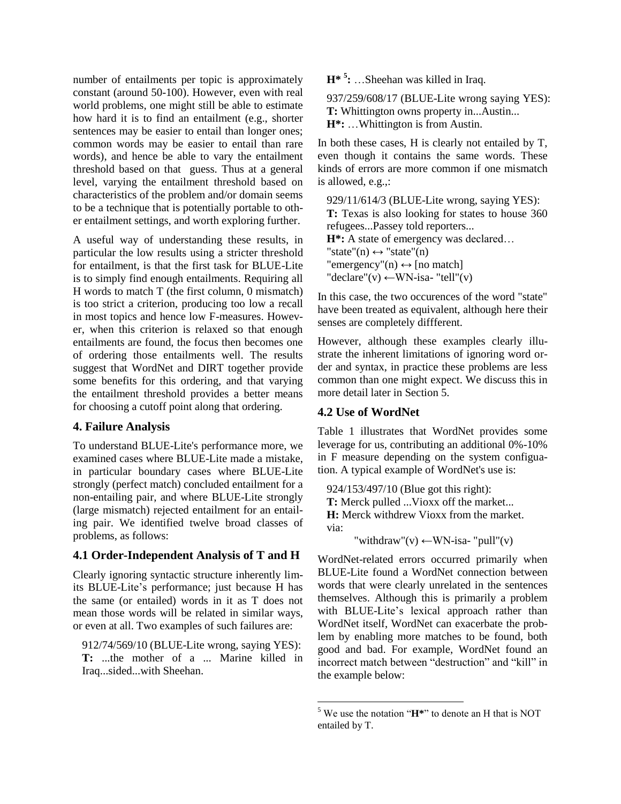number of entailments per topic is approximately constant (around 50-100). However, even with real world problems, one might still be able to estimate how hard it is to find an entailment (e.g., shorter sentences may be easier to entail than longer ones; common words may be easier to entail than rare words), and hence be able to vary the entailment threshold based on that guess. Thus at a general level, varying the entailment threshold based on characteristics of the problem and/or domain seems to be a technique that is potentially portable to other entailment settings, and worth exploring further.

A useful way of understanding these results, in particular the low results using a stricter threshold for entailment, is that the first task for BLUE-Lite is to simply find enough entailments. Requiring all H words to match T (the first column, 0 mismatch) is too strict a criterion, producing too low a recall in most topics and hence low F-measures. However, when this criterion is relaxed so that enough entailments are found, the focus then becomes one of ordering those entailments well. The results suggest that WordNet and DIRT together provide some benefits for this ordering, and that varying the entailment threshold provides a better means for choosing a cutoff point along that ordering.

#### **4. Failure Analysis**

To understand BLUE-Lite's performance more, we examined cases where BLUE-Lite made a mistake, in particular boundary cases where BLUE-Lite strongly (perfect match) concluded entailment for a non-entailing pair, and where BLUE-Lite strongly (large mismatch) rejected entailment for an entailing pair. We identified twelve broad classes of problems, as follows:

### **4.1 Order-Independent Analysis of T and H**

Clearly ignoring syntactic structure inherently limits BLUE-Lite's performance; just because H has the same (or entailed) words in it as T does not mean those words will be related in similar ways, or even at all. Two examples of such failures are:

912/74/569/10 (BLUE-Lite wrong, saying YES): **T:** ...the mother of a ... Marine killed in Iraq...sided...with Sheehan.

**H\* <sup>5</sup> :** …Sheehan was killed in Iraq.

937/259/608/17 (BLUE-Lite wrong saying YES): **T:** Whittington owns property in...Austin... **H\*:** …Whittington is from Austin.

In both these cases, H is clearly not entailed by T, even though it contains the same words. These kinds of errors are more common if one mismatch is allowed, e.g.,:

929/11/614/3 (BLUE-Lite wrong, saying YES): **T:** Texas is also looking for states to house 360 refugees...Passey told reporters... **H\*:** A state of emergency was declared… "state"(n)  $\leftrightarrow$  "state"(n) "emergency"(n)  $\leftrightarrow$  [no match] "declare"(v)  $\leftarrow$ WN-isa- "tell"(v)

In this case, the two occurences of the word "state" have been treated as equivalent, although here their senses are completely diffferent.

However, although these examples clearly illustrate the inherent limitations of ignoring word order and syntax, in practice these problems are less common than one might expect. We discuss this in more detail later in Section 5.

### **4.2 Use of WordNet**

Table 1 illustrates that WordNet provides some leverage for us, contributing an additional 0%-10% in F measure depending on the system configuation. A typical example of WordNet's use is:

924/153/497/10 (Blue got this right): **T:** Merck pulled ...Vioxx off the market... **H:** Merck withdrew Vioxx from the market. via:

"withdraw"(v)  $\leftarrow$ WN-isa- "pull"(v)

WordNet-related errors occurred primarily when BLUE-Lite found a WordNet connection between words that were clearly unrelated in the sentences themselves. Although this is primarily a problem with BLUE-Lite's lexical approach rather than WordNet itself, WordNet can exacerbate the problem by enabling more matches to be found, both good and bad. For example, WordNet found an incorrect match between "destruction" and "kill" in the example below:

 <sup>5</sup> We use the notation "**H\***" to denote an H that is NOT entailed by T.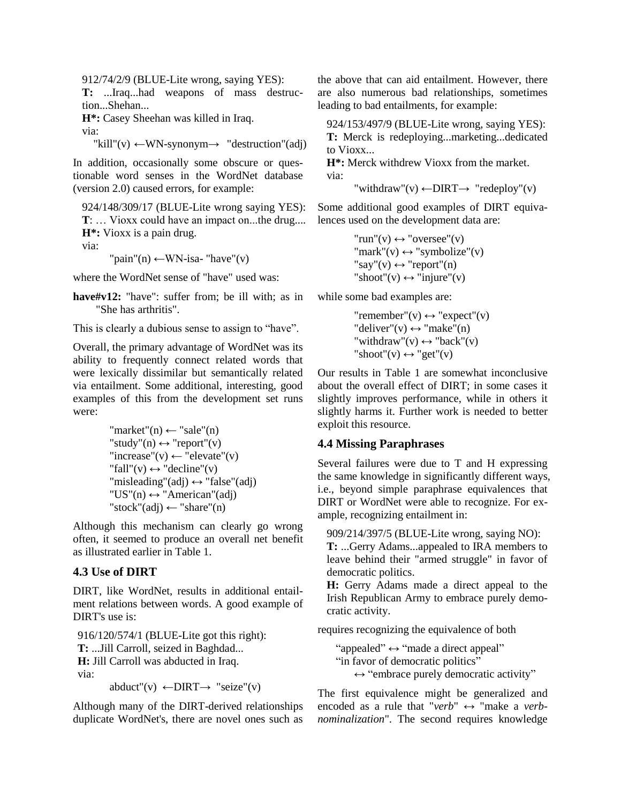912/74/2/9 (BLUE-Lite wrong, saying YES):

**T:** ...Iraq...had weapons of mass destruction...Shehan...

**H\*:** Casey Sheehan was killed in Iraq.

via:

 $"kill"(v) \leftarrow \text{WN-synonym} \rightarrow "destruction"(adj)$ 

In addition, occasionally some obscure or questionable word senses in the WordNet database (version 2.0) caused errors, for example:

924/148/309/17 (BLUE-Lite wrong saying YES): **T**: … Vioxx could have an impact on...the drug.... **H\*:** Vioxx is a pain drug.

via:

"pain"(n)  $\leftarrow$ WN-isa- "have"(v)

where the WordNet sense of "have" used was:

**have#v12:** "have": suffer from; be ill with; as in "She has arthritis".

This is clearly a dubious sense to assign to "have".

Overall, the primary advantage of WordNet was its ability to frequently connect related words that were lexically dissimilar but semantically related via entailment. Some additional, interesting, good examples of this from the development set runs were:

"market"(n) ← "sale"(n) "study"(n) ↔ "report"(v) "increase"(v) ← "elevate"(v) "fall"(v) ↔ "decline"(v) "misleading"(adj) ↔ "false"(adj) "US"(n) ↔ "American"(adj) "stock"(adj) ← "share"(n)

Although this mechanism can clearly go wrong often, it seemed to produce an overall net benefit as illustrated earlier in Table 1.

### **4.3 Use of DIRT**

DIRT, like WordNet, results in additional entailment relations between words. A good example of DIRT's use is:

916/120/574/1 (BLUE-Lite got this right): **T:** ...Jill Carroll, seized in Baghdad... **H:** Jill Carroll was abducted in Iraq. via:

abduct"(v)  $\leftarrow$ DIRT $\rightarrow$  "seize"(v)

Although many of the DIRT-derived relationships duplicate WordNet's, there are novel ones such as the above that can aid entailment. However, there are also numerous bad relationships, sometimes leading to bad entailments, for example:

924/153/497/9 (BLUE-Lite wrong, saying YES): **T:** Merck is redeploying...marketing...dedicated

to Vioxx... **H\*:** Merck withdrew Vioxx from the market.

via:

"withdraw"(v)  $\leftarrow$ DIRT $\rightarrow$  "redeploy"(v)

Some additional good examples of DIRT equivalences used on the development data are:

> $"run"(v) \leftrightarrow "oversee"(v)$ "mark"(v)  $\leftrightarrow$  "symbolize"(v) "say"(v)  $\leftrightarrow$  "report"(n) "shoot"(v)  $\leftrightarrow$  "injure"(v)

while some bad examples are:

"remember"(v)  $\leftrightarrow$  "expect"(v) "deliver"(v)  $\leftrightarrow$  "make"(n) "withdraw"(v)  $\leftrightarrow$  "back"(v) "shoot"(v)  $\leftrightarrow$  "get"(v)

Our results in Table 1 are somewhat inconclusive about the overall effect of DIRT; in some cases it slightly improves performance, while in others it slightly harms it. Further work is needed to better exploit this resource.

### **4.4 Missing Paraphrases**

Several failures were due to T and H expressing the same knowledge in significantly different ways, i.e., beyond simple paraphrase equivalences that DIRT or WordNet were able to recognize. For example, recognizing entailment in:

909/214/397/5 (BLUE-Lite wrong, saying NO):

**T:** ...Gerry Adams...appealed to IRA members to leave behind their "armed struggle" in favor of democratic politics.

**H:** Gerry Adams made a direct appeal to the Irish Republican Army to embrace purely democratic activity.

requires recognizing the equivalence of both

"appealed"  $\leftrightarrow$  "made a direct appeal" "in favor of democratic politics"  $\leftrightarrow$  "embrace purely democratic activity"

The first equivalence might be generalized and encoded as a rule that "*verb*"  $\leftrightarrow$  "make a *verbnominalization*". The second requires knowledge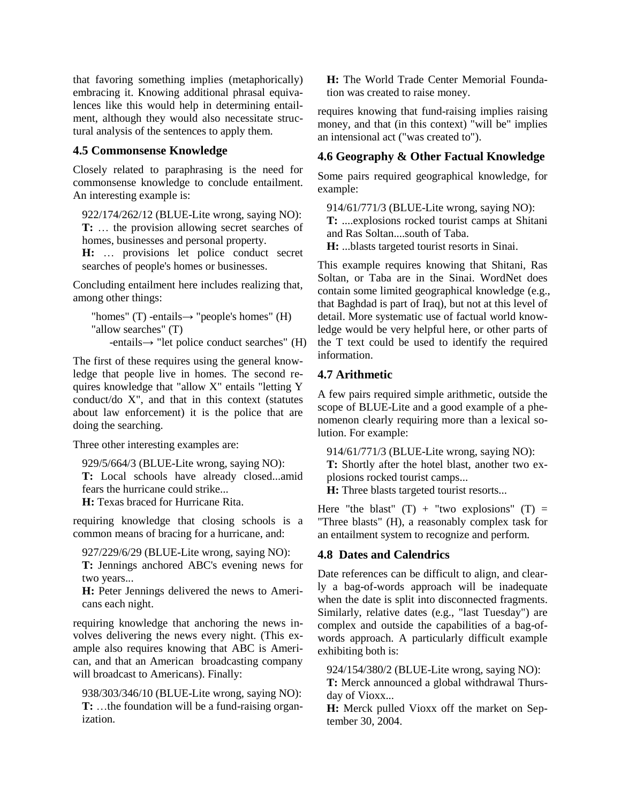that favoring something implies (metaphorically) embracing it. Knowing additional phrasal equivalences like this would help in determining entailment, although they would also necessitate structural analysis of the sentences to apply them.

### **4.5 Commonsense Knowledge**

Closely related to paraphrasing is the need for commonsense knowledge to conclude entailment. An interesting example is:

922/174/262/12 (BLUE-Lite wrong, saying NO): **T:** … the provision allowing secret searches of homes, businesses and personal property.

**H:** … provisions let police conduct secret searches of people's homes or businesses.

Concluding entailment here includes realizing that, among other things:

```
"homes" (T) -entails\rightarrow "people's homes" (H)
"allow searches" (T) 
    -entails→ "let police conduct searches" (H)
```
The first of these requires using the general knowledge that people live in homes. The second requires knowledge that "allow X" entails "letting Y conduct/do X", and that in this context (statutes about law enforcement) it is the police that are doing the searching.

Three other interesting examples are:

929/5/664/3 (BLUE-Lite wrong, saying NO):

**T:** Local schools have already closed...amid fears the hurricane could strike...

**H:** Texas braced for Hurricane Rita.

requiring knowledge that closing schools is a common means of bracing for a hurricane, and:

927/229/6/29 (BLUE-Lite wrong, saying NO): **T:** Jennings anchored ABC's evening news for two years...

**H:** Peter Jennings delivered the news to Americans each night.

requiring knowledge that anchoring the news involves delivering the news every night. (This example also requires knowing that ABC is American, and that an American broadcasting company will broadcast to Americans). Finally:

938/303/346/10 (BLUE-Lite wrong, saying NO): **T:** …the foundation will be a fund-raising organization.

**H:** The World Trade Center Memorial Foundation was created to raise money.

requires knowing that fund-raising implies raising money, and that (in this context) "will be" implies an intensional act ("was created to").

# **4.6 Geography & Other Factual Knowledge**

Some pairs required geographical knowledge, for example:

914/61/771/3 (BLUE-Lite wrong, saying NO):

**T:** ....explosions rocked tourist camps at Shitani and Ras Soltan....south of Taba.

**H:** ...blasts targeted tourist resorts in Sinai.

This example requires knowing that Shitani, Ras Soltan, or Taba are in the Sinai. WordNet does contain some limited geographical knowledge (e.g., that Baghdad is part of Iraq), but not at this level of detail. More systematic use of factual world knowledge would be very helpful here, or other parts of the T text could be used to identify the required information.

## **4.7 Arithmetic**

A few pairs required simple arithmetic, outside the scope of BLUE-Lite and a good example of a phenomenon clearly requiring more than a lexical solution. For example:

914/61/771/3 (BLUE-Lite wrong, saying NO): **T:** Shortly after the hotel blast, another two explosions rocked tourist camps...

**H:** Three blasts targeted tourist resorts...

Here "the blast"  $(T)$  + "two explosions"  $(T)$  = "Three blasts" (H), a reasonably complex task for an entailment system to recognize and perform.

### **4.8 Dates and Calendrics**

Date references can be difficult to align, and clearly a bag-of-words approach will be inadequate when the date is split into disconnected fragments. Similarly, relative dates (e.g., "last Tuesday") are complex and outside the capabilities of a bag-ofwords approach. A particularly difficult example exhibiting both is:

924/154/380/2 (BLUE-Lite wrong, saying NO):

**T:** Merck announced a global withdrawal Thursday of Vioxx...

**H:** Merck pulled Vioxx off the market on September 30, 2004.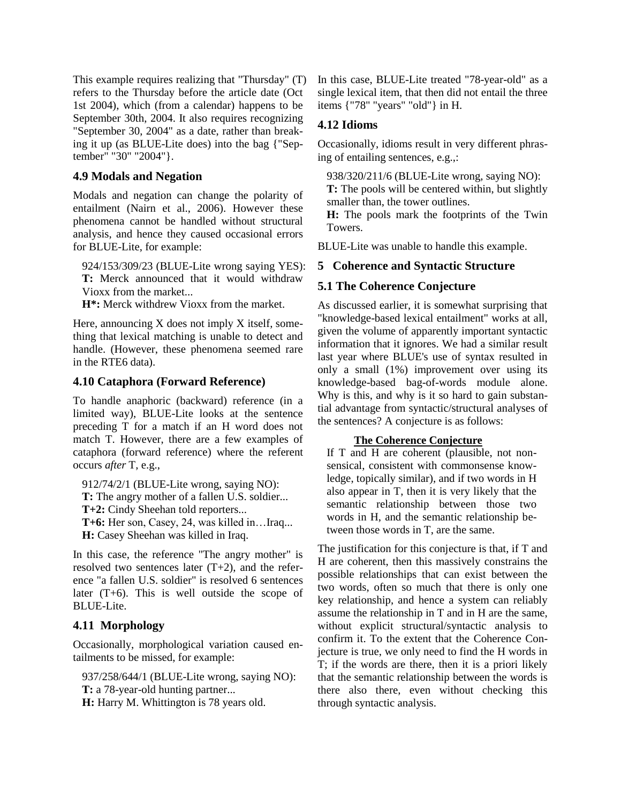This example requires realizing that "Thursday" (T) refers to the Thursday before the article date (Oct 1st 2004), which (from a calendar) happens to be September 30th, 2004. It also requires recognizing "September 30, 2004" as a date, rather than breaking it up (as BLUE-Lite does) into the bag {"September" "30" "2004"}.

#### **4.9 Modals and Negation**

Modals and negation can change the polarity of entailment (Nairn et al., 2006). However these phenomena cannot be handled without structural analysis, and hence they caused occasional errors for BLUE-Lite, for example:

924/153/309/23 (BLUE-Lite wrong saying YES): **T:** Merck announced that it would withdraw Vioxx from the market...

**H\*:** Merck withdrew Vioxx from the market.

Here, announcing X does not imply X itself, something that lexical matching is unable to detect and handle. (However, these phenomena seemed rare in the RTE6 data).

#### **4.10 Cataphora (Forward Reference)**

To handle anaphoric (backward) reference (in a limited way), BLUE-Lite looks at the sentence preceding T for a match if an H word does not match T. However, there are a few examples of cataphora (forward reference) where the referent occurs *after* T, e.g.,

912/74/2/1 (BLUE-Lite wrong, saying NO): **T:** The angry mother of a fallen U.S. soldier...

**T+2:** Cindy Sheehan told reporters...

**T+6:** Her son, Casey, 24, was killed in…Iraq...

**H:** Casey Sheehan was killed in Iraq.

In this case, the reference "The angry mother" is resolved two sentences later  $(T+2)$ , and the reference "a fallen U.S. soldier" is resolved 6 sentences later (T+6). This is well outside the scope of BLUE-Lite.

# **4.11 Morphology**

Occasionally, morphological variation caused entailments to be missed, for example:

937/258/644/1 (BLUE-Lite wrong, saying NO): **T:** a 78-year-old hunting partner...

**H:** Harry M. Whittington is 78 years old.

In this case, BLUE-Lite treated "78-year-old" as a single lexical item, that then did not entail the three items {"78" "years" "old"} in H.

#### **4.12 Idioms**

Occasionally, idioms result in very different phrasing of entailing sentences, e.g.,:

938/320/211/6 (BLUE-Lite wrong, saying NO):

**T:** The pools will be centered within, but slightly smaller than, the tower outlines.

**H:** The pools mark the footprints of the Twin Towers.

BLUE-Lite was unable to handle this example.

### **5 Coherence and Syntactic Structure**

### **5.1 The Coherence Conjecture**

As discussed earlier, it is somewhat surprising that "knowledge-based lexical entailment" works at all, given the volume of apparently important syntactic information that it ignores. We had a similar result last year where BLUE's use of syntax resulted in only a small (1%) improvement over using its knowledge-based bag-of-words module alone. Why is this, and why is it so hard to gain substantial advantage from syntactic/structural analyses of the sentences? A conjecture is as follows:

#### **The Coherence Conjecture**

If T and H are coherent (plausible, not nonsensical, consistent with commonsense knowledge, topically similar), and if two words in H also appear in T, then it is very likely that the semantic relationship between those two words in H, and the semantic relationship between those words in T, are the same.

The justification for this conjecture is that, if T and H are coherent, then this massively constrains the possible relationships that can exist between the two words, often so much that there is only one key relationship, and hence a system can reliably assume the relationship in T and in H are the same, without explicit structural/syntactic analysis to confirm it. To the extent that the Coherence Conjecture is true, we only need to find the H words in T; if the words are there, then it is a priori likely that the semantic relationship between the words is there also there, even without checking this through syntactic analysis.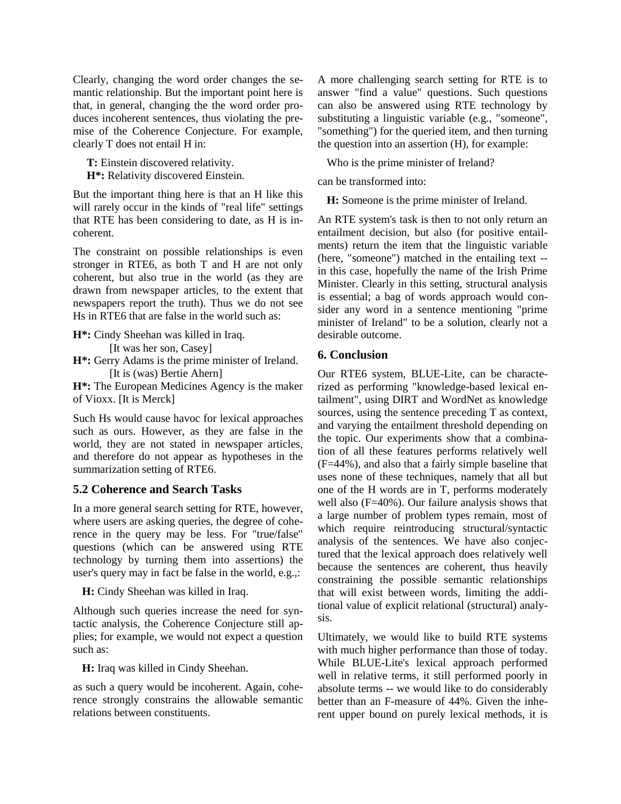Clearly, changing the word order changes the semantic relationship. But the important point here is that, in general, changing the the word order produces incoherent sentences, thus violating the premise of the Coherence Conjecture. For example, clearly T does not entail H in:

**T:** Einstein discovered relativity.

**H\*:** Relativity discovered Einstein.

But the important thing here is that an H like this will rarely occur in the kinds of "real life" settings that RTE has been considering to date, as H is incoherent.

The constraint on possible relationships is even stronger in RTE6, as both T and H are not only coherent, but also true in the world (as they are drawn from newspaper articles, to the extent that newspapers report the truth). Thus we do not see Hs in RTE6 that are false in the world such as:

**H\*:** Cindy Sheehan was killed in Iraq.

[It was her son, Casey]

**H\*:** Gerry Adams is the prime minister of Ireland. [It is (was) Bertie Ahern]

**H\*:** The European Medicines Agency is the maker of Vioxx. [It is Merck]

Such Hs would cause havoc for lexical approaches such as ours. However, as they are false in the world, they are not stated in newspaper articles, and therefore do not appear as hypotheses in the summarization setting of RTE6.

# **5.2 Coherence and Search Tasks**

In a more general search setting for RTE, however, where users are asking queries, the degree of coherence in the query may be less. For "true/false" questions (which can be answered using RTE technology by turning them into assertions) the user's query may in fact be false in the world, e.g.,:

**H:** Cindy Sheehan was killed in Iraq.

Although such queries increase the need for syntactic analysis, the Coherence Conjecture still applies; for example, we would not expect a question such as:

**H:** Iraq was killed in Cindy Sheehan.

as such a query would be incoherent. Again, coherence strongly constrains the allowable semantic relations between constituents.

A more challenging search setting for RTE is to answer "find a value" questions. Such questions can also be answered using RTE technology by substituting a linguistic variable (e.g., "someone", "something") for the queried item, and then turning the question into an assertion (H), for example:

Who is the prime minister of Ireland?

can be transformed into:

**H:** Someone is the prime minister of Ireland.

An RTE system's task is then to not only return an entailment decision, but also (for positive entailments) return the item that the linguistic variable (here, "someone") matched in the entailing text - in this case, hopefully the name of the Irish Prime Minister. Clearly in this setting, structural analysis is essential; a bag of words approach would consider any word in a sentence mentioning "prime minister of Ireland" to be a solution, clearly not a desirable outcome.

### **6. Conclusion**

Our RTE6 system, BLUE-Lite, can be characterized as performing "knowledge-based lexical entailment", using DIRT and WordNet as knowledge sources, using the sentence preceding T as context, and varying the entailment threshold depending on the topic. Our experiments show that a combination of all these features performs relatively well (F=44%), and also that a fairly simple baseline that uses none of these techniques, namely that all but one of the H words are in T, performs moderately well also (F=40%). Our failure analysis shows that a large number of problem types remain, most of which require reintroducing structural/syntactic analysis of the sentences. We have also conjectured that the lexical approach does relatively well because the sentences are coherent, thus heavily constraining the possible semantic relationships that will exist between words, limiting the additional value of explicit relational (structural) analysis.

Ultimately, we would like to build RTE systems with much higher performance than those of today. While BLUE-Lite's lexical approach performed well in relative terms, it still performed poorly in absolute terms -- we would like to do considerably better than an F-measure of 44%. Given the inherent upper bound on purely lexical methods, it is